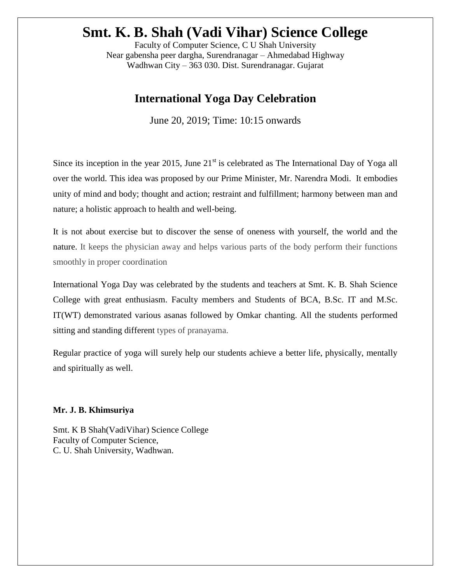## **Smt. K. B. Shah (Vadi Vihar) Science College**

Faculty of Computer Science, C U Shah University Near gabensha peer dargha, Surendranagar – Ahmedabad Highway Wadhwan City – 363 030. Dist. Surendranagar. Gujarat

## **International Yoga Day Celebration**

June 20, 2019; Time: 10:15 onwards

Since its inception in the year 2015, June  $21<sup>st</sup>$  is celebrated as The International Day of Yoga all over the world. This idea was proposed by our Prime Minister, Mr. Narendra Modi. It embodies unity of mind and body; thought and action; restraint and fulfillment; harmony between man and nature; a holistic approach to health and well-being.

It is not about exercise but to discover the sense of oneness with yourself, the world and the nature. It keeps the physician away and helps various parts of the body perform their functions smoothly in proper coordination

International Yoga Day was celebrated by the students and teachers at Smt. K. B. Shah Science College with great enthusiasm. Faculty members and Students of BCA, B.Sc. IT and M.Sc. IT(WT) demonstrated various asanas followed by Omkar chanting. All the students performed sitting and standing different types of pranayama.

Regular practice of yoga will surely help our students achieve a better life, physically, mentally and spiritually as well.

## **Mr. J. B. Khimsuriya**

Smt. K B Shah(VadiVihar) Science College Faculty of Computer Science, C. U. Shah University, Wadhwan.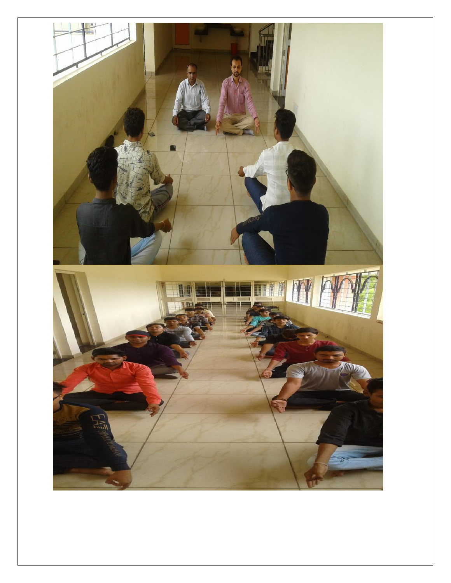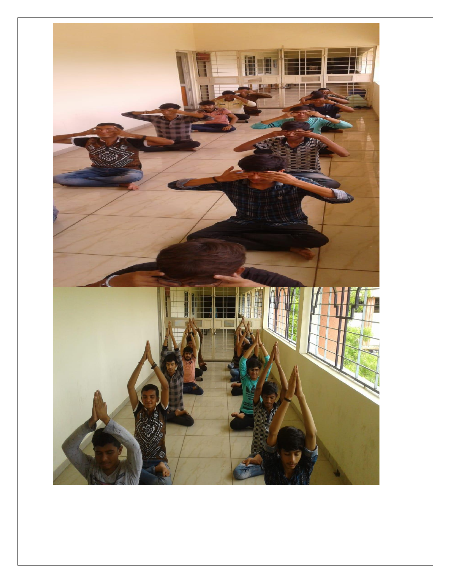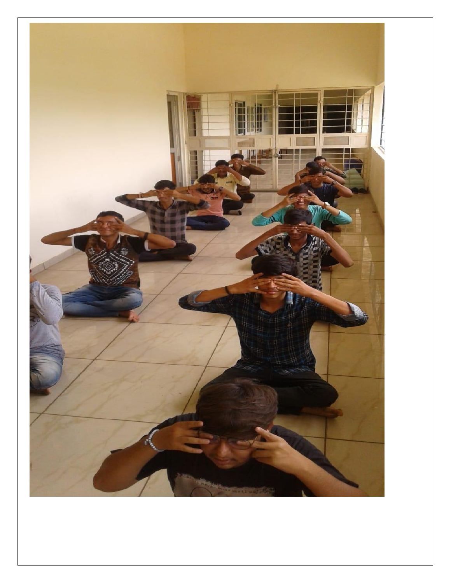